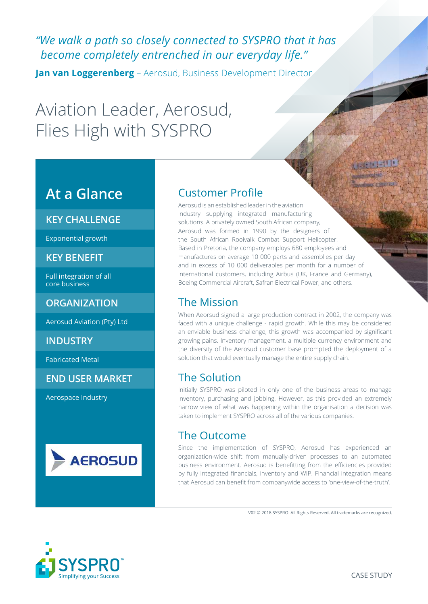# *"We walk a path so closely connected to SYSPRO that it has become completely entrenched in our everyday life."*

**Jan van Loggerenberg** – Aerosud, Business Development Director

# Aviation Leader, Aerosud, Flies High with SYSPRO

# **At a Glance**

#### **KEY CHALLENGE**

Exponential growth

#### **KEY BENEFIT**

Full integration of all core business

#### **ORGANIZATION**

Aerosud Aviation (Pty) Ltd

#### **INDUSTRY**

Fabricated Metal

**END USER MARKET**

Aerospace Industry



#### Customer Profile

Aerosud is an established leader in the aviation industry supplying integrated manufacturing solutions. A privately owned South African company, Aerosud was formed in 1990 by the designers of the South African Rooivalk Combat Support Helicopter. Based in Pretoria, the company employs 680 employees and manufactures on average 10 000 parts and assemblies per day and in excess of 10 000 deliverables per month for a number of international customers, including Airbus (UK, France and Germany), Boeing Commercial Aircraft, Safran Electrical Power, and others.

#### The Mission

When Aeorsud signed a large production contract in 2002, the company was faced with a unique challenge - rapid growth. While this may be considered an enviable business challenge, this growth was accompanied by significant growing pains. Inventory management, a multiple currency environment and the diversity of the Aerosud customer base prompted the deployment of a solution that would eventually manage the entire supply chain.

### The Solution

Initially SYSPRO was piloted in only one of the business areas to manage inventory, purchasing and jobbing. However, as this provided an extremely narrow view of what was happening within the organisation a decision was taken to implement SYSPRO across all of the various companies.

#### The Outcome

Since the implementation of SYSPRO, Aerosud has experienced an organization-wide shift from manually-driven processes to an automated business environment. Aerosud is benefitting from the efficiencies provided by fully integrated financials, inventory and WIP. Financial integration means that Aerosud can benefit from companywide access to 'one-view-of-the-truth'.

V02 © 2018 SYSPRO. All Rights Reserved. All trademarks are recognized.

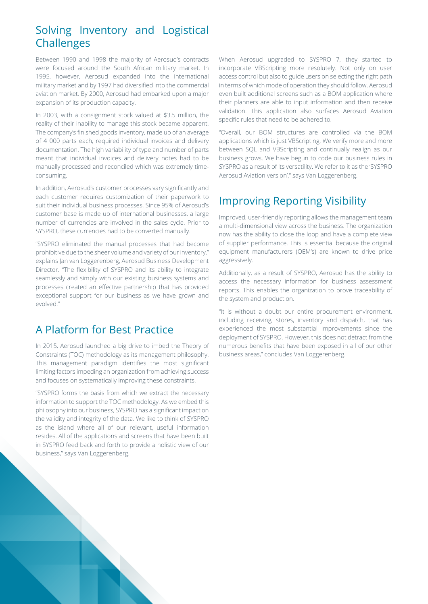## Solving Inventory and Logistical Challenges

Between 1990 and 1998 the majority of Aerosud's contracts were focused around the South African military market. In 1995, however, Aerosud expanded into the international military market and by 1997 had diversified into the commercial aviation market. By 2000, Aerosud had embarked upon a major expansion of its production capacity.

In 2003, with a consignment stock valued at \$3.5 million, the reality of their inability to manage this stock became apparent. The company's finished goods inventory, made up of an average of 4 000 parts each, required individual invoices and delivery documentation. The high variability of type and number of parts meant that individual invoices and delivery notes had to be manually processed and reconciled which was extremely timeconsuming.

In addition, Aerosud's customer processes vary significantly and each customer requires customization of their paperwork to suit their individual business processes. Since 95% of Aerosud's customer base is made up of international businesses, a large number of currencies are involved in the sales cycle. Prior to SYSPRO, these currencies had to be converted manually.

"SYSPRO eliminated the manual processes that had become prohibitive due to the sheer volume and variety of our inventory," explains Jan van Loggerenberg, Aerosud Business Development Director. "The flexibility of SYSPRO and its ability to integrate seamlessly and simply with our existing business systems and processes created an effective partnership that has provided exceptional support for our business as we have grown and evolved."

### A Platform for Best Practice

In 2015, Aerosud launched a big drive to imbed the Theory of Constraints (TOC) methodology as its management philosophy. This management paradigm identifies the most significant limiting factors impeding an organization from achieving success and focuses on systematically improving these constraints.

"SYSPRO forms the basis from which we extract the necessary information to support the TOC methodology. As we embed this philosophy into our business, SYSPRO has a significant impact on the validity and integrity of the data. We like to think of SYSPRO as the island where all of our relevant, useful information resides. All of the applications and screens that have been built in SYSPRO feed back and forth to provide a holistic view of our business," says Van Loggerenberg.

When Aerosud upgraded to SYSPRO 7, they started to incorporate VBScripting more resolutely. Not only on user access control but also to guide users on selecting the right path in terms of which mode of operation they should follow. Aerosud even built additional screens such as a BOM application where their planners are able to input information and then receive validation. This application also surfaces Aerosud Aviation specific rules that need to be adhered to.

"Overall, our BOM structures are controlled via the BOM applications which is just VBScripting. We verify more and more between SQL and VBScripting and continually realign as our business grows. We have begun to code our business rules in SYSPRO as a result of its versatility. We refer to it as the 'SYSPRO Aerosud Aviation version'," says Van Loggerenberg.

## Improving Reporting Visibility

Improved, user-friendly reporting allows the management team a multi-dimensional view across the business. The organization now has the ability to close the loop and have a complete view of supplier performance. This is essential because the original equipment manufacturers (OEM's) are known to drive price aggressively.

Additionally, as a result of SYSPRO, Aerosud has the ability to access the necessary information for business assessment reports. This enables the organization to prove traceability of the system and production.

"It is without a doubt our entire procurement environment, including receiving, stores, inventory and dispatch, that has experienced the most substantial improvements since the deployment of SYSPRO. However, this does not detract from the numerous benefits that have been exposed in all of our other business areas," concludes Van Loggerenberg.